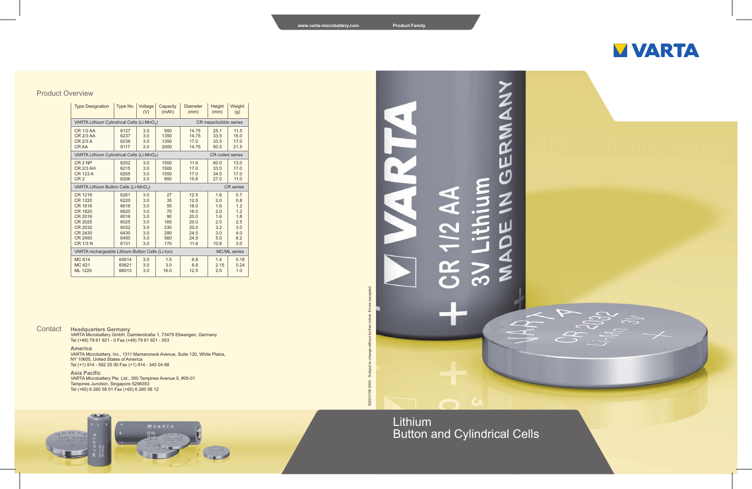# GERMANY ๔  $\blacksquare$ ८<br>ऽ  $\widetilde{\mathbf{R}}$  $\gtrsim$

Lithium Button and Cylindrical Cells

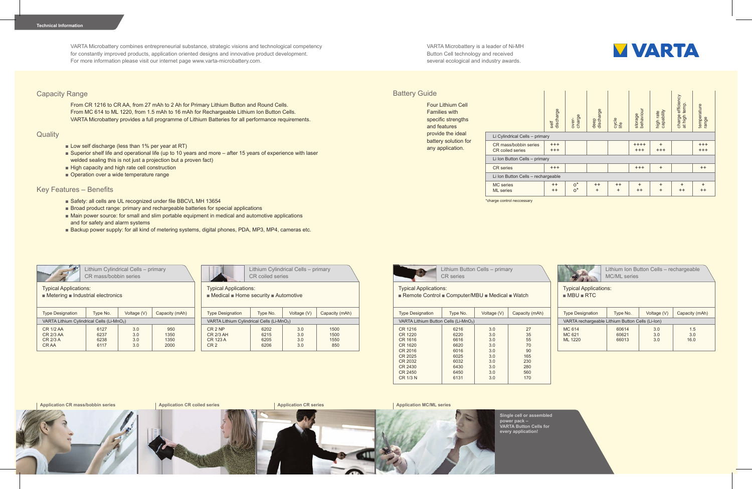VARTA Microbattery combines entrepreneurial substance, strategic visions and technological competency for constantly improved products, application oriented designs and innovative product development. For more information please visit our internet page www.varta-microbattery.com.

#### Capacity Range

From CR 1216 to CR AA, from 27 mAh to 2 Ah for Primary Lithium Button and Round Cells. From MC 614 to ML 1220, from 1.5 mAh to 16 mAh for Rechargeable Lithium Ion Button Cells. VARTA Microbattery provides a full programme of Lithium Batteries for all performance requirements.

#### **Quality**

- Low self discharge (less than 1% per year at RT)
- Superior shelf life and operational life (up to 10 years and more after 15 years of experience with laser welded sealing this is not just a projection but a proven fact)
- High capacity and high rate cell construction
- Operation over a wide temperature range

### Key Features – Benefits

- Safety: all cells are UL recognized under file BBCVL MH 13654
- Broad product range: primary and rechargeable batteries for special applications
- Main power source: for small and slim portable equipment in medical and automotive applications and for safety and alarm systems
- Backup power supply: for all kind of metering systems, digital phones, PDA, MP3, MP4, cameras etc.

Lithium Cylindrical Cells – primary CR mass/bobbin series

Typical Applications:

■ Metering ■ Industrial electronics

| <b>Type Designation</b>                                | Type No.<br>Voltage (V) |     | Capacity (mAh) |  |  |  |
|--------------------------------------------------------|-------------------------|-----|----------------|--|--|--|
| VARTA Lithium Cylindrical Cells (Li-MnO <sub>2</sub> ) |                         |     |                |  |  |  |
| CR 1/2 AA                                              | 6127                    | 3.0 | 950            |  |  |  |
| CR 2/3 AA                                              | 6237                    | 3.0 | 1350           |  |  |  |
| CR 2/3 A                                               | 6238                    | 3.0 | 1350           |  |  |  |
| CR AA                                                  | 6117                    | 3.0 | 2000           |  |  |  |
|                                                        |                         |     |                |  |  |  |



Lithium Cylindrical Cells – primary CR coiled series

Typical Applications:

■ Medical ■ Home security ■ Automotive

| <b>Type Designation</b>                                               | Type No.                     | Voltage (V)              | Capacity (mAh)              |  |  |  |
|-----------------------------------------------------------------------|------------------------------|--------------------------|-----------------------------|--|--|--|
| VARTA Lithium Cylindrical Cells (Li-MnO <sub>2</sub> )                |                              |                          |                             |  |  |  |
| CR <sub>2</sub> NP<br><b>CR 2/3 AH</b><br>CR 123 A<br>CR <sub>2</sub> | 6202<br>6215<br>6205<br>6206 | 3.0<br>3.0<br>3.0<br>3.0 | 1500<br>1500<br>1550<br>850 |  |  |  |

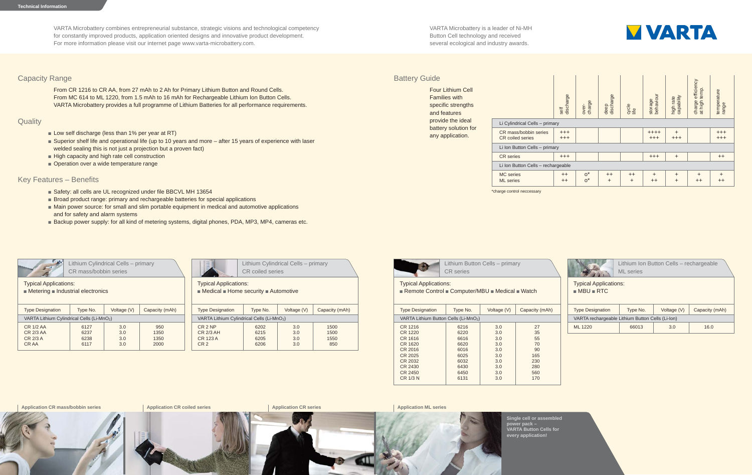VARTA Microbattery is a leader of Ni-MH Button Cell technology and received several ecological and industry awards.



# **Battery Guide**

Four Lithium Cell Families with specific strengths and features provide the ideal battery solution for any application.

|                                           | discharge<br>self                  | charge<br>over- | discharge<br>deep    | cycle<br>life        | behaviour<br>storage | capability<br>high rate | efficiency<br>temp.<br>charge<br>at high t | temperature<br>range |
|-------------------------------------------|------------------------------------|-----------------|----------------------|----------------------|----------------------|-------------------------|--------------------------------------------|----------------------|
| Li Cylindrical Cells - primary            |                                    |                 |                      |                      |                      |                         |                                            |                      |
| CR mass/bobbin series<br>CR coiled series | $^{+++}$<br>$^{+++}$               |                 |                      |                      | $++++$<br>$^{+++}$   | $\ddot{}$<br>$^{+++}$   |                                            | $^{+++}$<br>$^{+++}$ |
| Li Ion Button Cells - primary             |                                    |                 |                      |                      |                      |                         |                                            |                      |
| <b>CR</b> series                          | $^{+++}$                           |                 |                      |                      | $^{+++}$             | $\ddot{}$               |                                            | $^{++}$              |
| Li Ion Button Cells - rechargeable        |                                    |                 |                      |                      |                      |                         |                                            |                      |
| <b>MC</b> series<br><b>ML</b> series      | $^{\mathrm{+}}$<br>$^{\mathrm{+}}$ | $o^*$<br>$o^*$  | $^{++}$<br>$\ddot{}$ | $^{++}$<br>$\ddot{}$ | $\ddot{}$<br>$^{++}$ | $\ddot{}$<br>$\ddot{}$  | $\ddot{}$<br>$^{++}$                       | $\ddot{}$<br>$^{++}$ |

\*charge control neccessary



Lithium Button Cells – primary CR series

Typical Applications:

| Remote Control Computer/MBU Medical Watch |  |  |  |
|-------------------------------------------|--|--|--|
|-------------------------------------------|--|--|--|

| <b>Type Designation</b>                           | Type No. | Voltage (V) | Capacity (mAh) |  |  |
|---------------------------------------------------|----------|-------------|----------------|--|--|
| VARTA Lithium Button Cells (Li-MnO <sub>2</sub> ) |          |             |                |  |  |
| CR 1216                                           | 6216     | 3.0         | 27             |  |  |
| CR 1220                                           | 6220     | 3.0         | 35             |  |  |
| CR 1616                                           | 6616     | 3.0         | 55             |  |  |
| CR 1620                                           | 6620     | 3.0         | 70             |  |  |
| CR 2016                                           | 6016     | 3.0         | 90             |  |  |
| CR 2025                                           | 6025     | 3.0         | 165            |  |  |
| CR 2032                                           | 6032     | 3.0         | 230            |  |  |
| CR 2430                                           | 6430     | 3.0         | 280            |  |  |
| CR 2450                                           | 6450     | 3.0         | 560            |  |  |
| CR 1/3 N                                          | 6131     | 3.0         | 170            |  |  |
|                                                   |          |             |                |  |  |



Lithium Ion Button Cells – rechargeable ML series

Typical Applications: ■ MBU ■ RTC

| <b>Type Designation</b>                          | Type No. | Voltage (V) | Capacity (mAh) |  |  |  |
|--------------------------------------------------|----------|-------------|----------------|--|--|--|
| VARTA rechargeable Lithium Button Cells (Li-lon) |          |             |                |  |  |  |
| ML 1220<br>66013                                 |          | 3.0         | 16.0           |  |  |  |

**Application ML series**



**Single cell or assembled power pack – VARTA Button Cells for every application!**